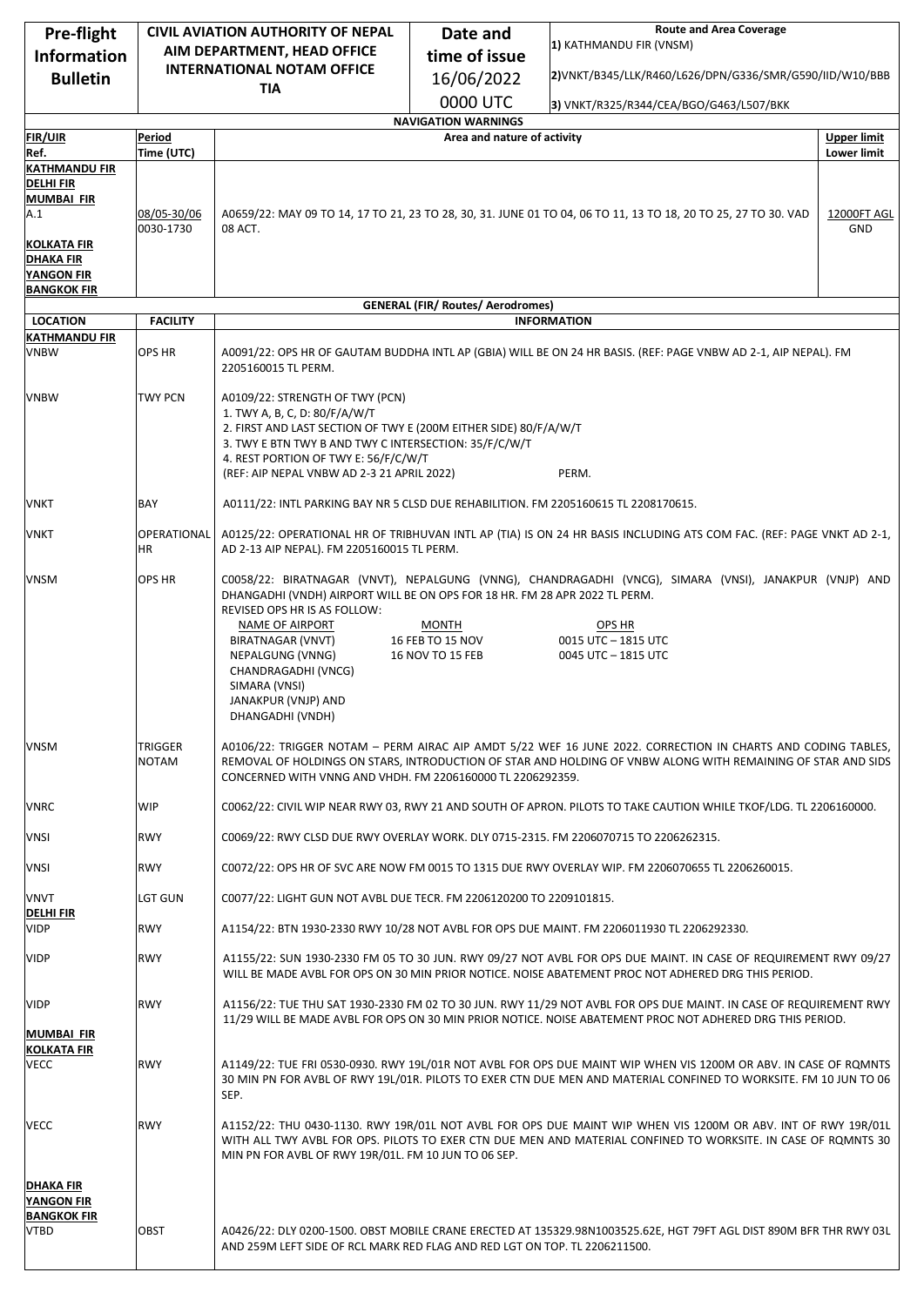| Pre-flight                            | <b>CIVIL AVIATION AUTHORITY OF NEPAL</b> |                                                                                                                                                                                      | Date and                                 | <b>Route and Area Coverage</b>                                                                                                                                                                                                 |                    |
|---------------------------------------|------------------------------------------|--------------------------------------------------------------------------------------------------------------------------------------------------------------------------------------|------------------------------------------|--------------------------------------------------------------------------------------------------------------------------------------------------------------------------------------------------------------------------------|--------------------|
| <b>Information</b>                    |                                          | AIM DEPARTMENT, HEAD OFFICE                                                                                                                                                          | time of issue                            | 1) KATHMANDU FIR (VNSM)                                                                                                                                                                                                        |                    |
| <b>Bulletin</b>                       |                                          | <b>INTERNATIONAL NOTAM OFFICE</b>                                                                                                                                                    | 16/06/2022                               | 2)VNKT/B345/LLK/R460/L626/DPN/G336/SMR/G590/IID/W10/BBB                                                                                                                                                                        |                    |
|                                       |                                          | <b>TIA</b>                                                                                                                                                                           | 0000 UTC                                 |                                                                                                                                                                                                                                |                    |
|                                       |                                          |                                                                                                                                                                                      | <b>NAVIGATION WARNINGS</b>               | 3) VNKT/R325/R344/CEA/BGO/G463/L507/BKK                                                                                                                                                                                        |                    |
| <b>FIR/UIR</b>                        | Period                                   |                                                                                                                                                                                      | Area and nature of activity              |                                                                                                                                                                                                                                | <b>Upper limit</b> |
| Ref.<br><b>KATHMANDU FIR</b>          | Time (UTC)                               |                                                                                                                                                                                      |                                          |                                                                                                                                                                                                                                | <b>Lower limit</b> |
| <b>DELHI FIR</b>                      |                                          |                                                                                                                                                                                      |                                          |                                                                                                                                                                                                                                |                    |
| <b>MUMBAI FIR</b><br>A.1              | 08/05-30/06                              | A0659/22: MAY 09 TO 14, 17 TO 21, 23 TO 28, 30, 31. JUNE 01 TO 04, 06 TO 11, 13 TO 18, 20 TO 25, 27 TO 30. VAD<br>12000FT AGL                                                        |                                          |                                                                                                                                                                                                                                |                    |
|                                       | 0030-1730                                | 08 ACT.                                                                                                                                                                              |                                          |                                                                                                                                                                                                                                | GND                |
| KOLKATA FIR                           |                                          |                                                                                                                                                                                      |                                          |                                                                                                                                                                                                                                |                    |
| <b>DHAKA FIR</b><br><b>YANGON FIR</b> |                                          |                                                                                                                                                                                      |                                          |                                                                                                                                                                                                                                |                    |
| <b>BANGKOK FIR</b>                    |                                          |                                                                                                                                                                                      |                                          |                                                                                                                                                                                                                                |                    |
| <b>LOCATION</b>                       | <b>FACILITY</b>                          |                                                                                                                                                                                      | <b>GENERAL (FIR/ Routes/ Aerodromes)</b> | <b>INFORMATION</b>                                                                                                                                                                                                             |                    |
| <b>KATHMANDU FIR</b>                  |                                          |                                                                                                                                                                                      |                                          |                                                                                                                                                                                                                                |                    |
| <b>VNBW</b>                           | <b>OPS HR</b>                            | A0091/22: OPS HR OF GAUTAM BUDDHA INTL AP (GBIA) WILL BE ON 24 HR BASIS. (REF: PAGE VNBW AD 2-1, AIP NEPAL). FM<br>2205160015 TL PERM.                                               |                                          |                                                                                                                                                                                                                                |                    |
|                                       |                                          |                                                                                                                                                                                      |                                          |                                                                                                                                                                                                                                |                    |
| <b>VNBW</b>                           | <b>TWY PCN</b>                           | A0109/22: STRENGTH OF TWY (PCN)<br>1. TWY A, B, C, D: 80/F/A/W/T                                                                                                                     |                                          |                                                                                                                                                                                                                                |                    |
|                                       |                                          | 2. FIRST AND LAST SECTION OF TWY E (200M EITHER SIDE) 80/F/A/W/T                                                                                                                     |                                          |                                                                                                                                                                                                                                |                    |
|                                       |                                          | 3. TWY E BTN TWY B AND TWY C INTERSECTION: 35/F/C/W/T<br>4. REST PORTION OF TWY E: 56/F/C/W/T                                                                                        |                                          |                                                                                                                                                                                                                                |                    |
|                                       |                                          | (REF: AIP NEPAL VNBW AD 2-3 21 APRIL 2022)                                                                                                                                           |                                          | PERM.                                                                                                                                                                                                                          |                    |
| VNKT                                  | BAY                                      | A0111/22: INTL PARKING BAY NR 5 CLSD DUE REHABILITION. FM 2205160615 TL 2208170615.                                                                                                  |                                          |                                                                                                                                                                                                                                |                    |
| <b>VNKT</b>                           | OPERATIONAL                              |                                                                                                                                                                                      |                                          | A0125/22: OPERATIONAL HR OF TRIBHUVAN INTL AP (TIA) IS ON 24 HR BASIS INCLUDING ATS COM FAC. (REF: PAGE VNKT AD 2-1,                                                                                                           |                    |
|                                       | ΗR                                       | AD 2-13 AIP NEPAL). FM 2205160015 TL PERM.                                                                                                                                           |                                          |                                                                                                                                                                                                                                |                    |
| <b>VNSM</b>                           | OPS HR                                   | C0058/22: BIRATNAGAR (VNVT), NEPALGUNG (VNNG), CHANDRAGADHI (VNCG), SIMARA (VNSI), JANAKPUR (VNJP) AND<br>DHANGADHI (VNDH) AIRPORT WILL BE ON OPS FOR 18 HR. FM 28 APR 2022 TL PERM. |                                          |                                                                                                                                                                                                                                |                    |
|                                       |                                          | REVISED OPS HR IS AS FOLLOW:                                                                                                                                                         |                                          |                                                                                                                                                                                                                                |                    |
|                                       |                                          | NAME OF AIRPORT<br>BIRATNAGAR (VNVT)                                                                                                                                                 | <b>MONTH</b><br>16 FEB TO 15 NOV         | OPS HR<br>0015 UTC - 1815 UTC                                                                                                                                                                                                  |                    |
|                                       |                                          | NEPALGUNG (VNNG)                                                                                                                                                                     | 16 NOV TO 15 FEB                         | 0045 UTC - 1815 UTC                                                                                                                                                                                                            |                    |
|                                       |                                          | CHANDRAGADHI (VNCG)                                                                                                                                                                  |                                          |                                                                                                                                                                                                                                |                    |
|                                       |                                          | SIMARA (VNSI)<br>JANAKPUR (VNJP) AND                                                                                                                                                 |                                          |                                                                                                                                                                                                                                |                    |
|                                       |                                          | DHANGADHI (VNDH)                                                                                                                                                                     |                                          |                                                                                                                                                                                                                                |                    |
| <b>VNSM</b>                           | TRIGGER                                  |                                                                                                                                                                                      |                                          | A0106/22: TRIGGER NOTAM - PERM AIRAC AIP AMDT 5/22 WEF 16 JUNE 2022. CORRECTION IN CHARTS AND CODING TABLES,                                                                                                                   |                    |
|                                       | <b>NOTAM</b>                             | REMOVAL OF HOLDINGS ON STARS, INTRODUCTION OF STAR AND HOLDING OF VNBW ALONG WITH REMAINING OF STAR AND SIDS<br>CONCERNED WITH VNNG AND VHDH. FM 2206160000 TL 2206292359.           |                                          |                                                                                                                                                                                                                                |                    |
|                                       |                                          |                                                                                                                                                                                      |                                          |                                                                                                                                                                                                                                |                    |
| VNRC                                  | WIP                                      | C0062/22: CIVIL WIP NEAR RWY 03, RWY 21 AND SOUTH OF APRON. PILOTS TO TAKE CAUTION WHILE TKOF/LDG. TL 2206160000.                                                                    |                                          |                                                                                                                                                                                                                                |                    |
| VNSI                                  | <b>RWY</b>                               | C0069/22: RWY CLSD DUE RWY OVERLAY WORK. DLY 0715-2315. FM 2206070715 TO 2206262315.                                                                                                 |                                          |                                                                                                                                                                                                                                |                    |
| VNSI                                  | <b>RWY</b>                               | C0072/22: OPS HR OF SVC ARE NOW FM 0015 TO 1315 DUE RWY OVERLAY WIP. FM 2206070655 TL 2206260015.                                                                                    |                                          |                                                                                                                                                                                                                                |                    |
| <b>VNVT</b><br><b>DELHIFIR</b>        | LGT GUN                                  | C0077/22: LIGHT GUN NOT AVBL DUE TECR. FM 2206120200 TO 2209101815.                                                                                                                  |                                          |                                                                                                                                                                                                                                |                    |
| <b>VIDP</b>                           | <b>RWY</b>                               |                                                                                                                                                                                      |                                          | A1154/22: BTN 1930-2330 RWY 10/28 NOT AVBL FOR OPS DUE MAINT. FM 2206011930 TL 2206292330.                                                                                                                                     |                    |
| VIDP                                  | <b>RWY</b>                               |                                                                                                                                                                                      |                                          | A1155/22: SUN 1930-2330 FM 05 TO 30 JUN. RWY 09/27 NOT AVBL FOR OPS DUE MAINT. IN CASE OF REQUIREMENT RWY 09/27<br>WILL BE MADE AVBL FOR OPS ON 30 MIN PRIOR NOTICE. NOISE ABATEMENT PROC NOT ADHERED DRG THIS PERIOD.         |                    |
|                                       |                                          |                                                                                                                                                                                      |                                          |                                                                                                                                                                                                                                |                    |
| <b>VIDP</b>                           | <b>RWY</b>                               |                                                                                                                                                                                      |                                          | A1156/22: TUE THU SAT 1930-2330 FM 02 TO 30 JUN. RWY 11/29 NOT AVBL FOR OPS DUE MAINT. IN CASE OF REQUIREMENT RWY<br>11/29 WILL BE MADE AVBL FOR OPS ON 30 MIN PRIOR NOTICE. NOISE ABATEMENT PROC NOT ADHERED DRG THIS PERIOD. |                    |
| <b>MUMBAI FIR</b>                     |                                          |                                                                                                                                                                                      |                                          |                                                                                                                                                                                                                                |                    |
| KOLKATA FIR<br><b>VECC</b>            | <b>RWY</b>                               |                                                                                                                                                                                      |                                          | A1149/22: TUE FRI 0530-0930. RWY 19L/01R NOT AVBL FOR OPS DUE MAINT WIP WHEN VIS 1200M OR ABV. IN CASE OF ROMNTS                                                                                                               |                    |
|                                       |                                          |                                                                                                                                                                                      |                                          | 30 MIN PN FOR AVBL OF RWY 19L/01R. PILOTS TO EXER CTN DUE MEN AND MATERIAL CONFINED TO WORKSITE. FM 10 JUN TO 06                                                                                                               |                    |
|                                       |                                          | SEP.                                                                                                                                                                                 |                                          |                                                                                                                                                                                                                                |                    |
| <b>VECC</b>                           | <b>RWY</b>                               |                                                                                                                                                                                      |                                          | A1152/22: THU 0430-1130. RWY 19R/01L NOT AVBL FOR OPS DUE MAINT WIP WHEN VIS 1200M OR ABV. INT OF RWY 19R/01L                                                                                                                  |                    |
|                                       |                                          | MIN PN FOR AVBL OF RWY 19R/01L. FM 10 JUN TO 06 SEP.                                                                                                                                 |                                          | WITH ALL TWY AVBL FOR OPS. PILOTS TO EXER CTN DUE MEN AND MATERIAL CONFINED TO WORKSITE. IN CASE OF ROMNTS 30                                                                                                                  |                    |
|                                       |                                          |                                                                                                                                                                                      |                                          |                                                                                                                                                                                                                                |                    |
| <b>DHAKA FIR</b><br>YANGON FIR        |                                          |                                                                                                                                                                                      |                                          |                                                                                                                                                                                                                                |                    |
| <b>BANGKOK FIR</b>                    |                                          |                                                                                                                                                                                      |                                          |                                                                                                                                                                                                                                |                    |
| <b>VTBD</b>                           | OBST                                     | AND 259M LEFT SIDE OF RCL MARK RED FLAG AND RED LGT ON TOP. TL 2206211500.                                                                                                           |                                          | A0426/22: DLY 0200-1500. OBST MOBILE CRANE ERECTED AT 135329.98N1003525.62E, HGT 79FT AGL DIST 890M BFR THR RWY 03L                                                                                                            |                    |
|                                       |                                          |                                                                                                                                                                                      |                                          |                                                                                                                                                                                                                                |                    |